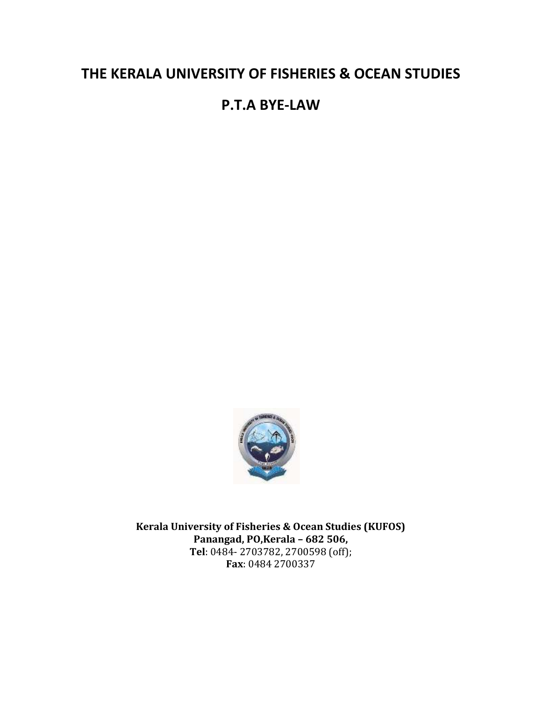# **THE KERALA UNIVERSITY OF FISHERIES & OCEAN STUDIES**

# **P.T.A BYE-LAW**



**Kerala University of Fisheries & Ocean Studies (KUFOS) Panangad, PO,Kerala – 682 506, Tel**: 0484- 2703782, 2700598 (off); **Fax**: 0484 2700337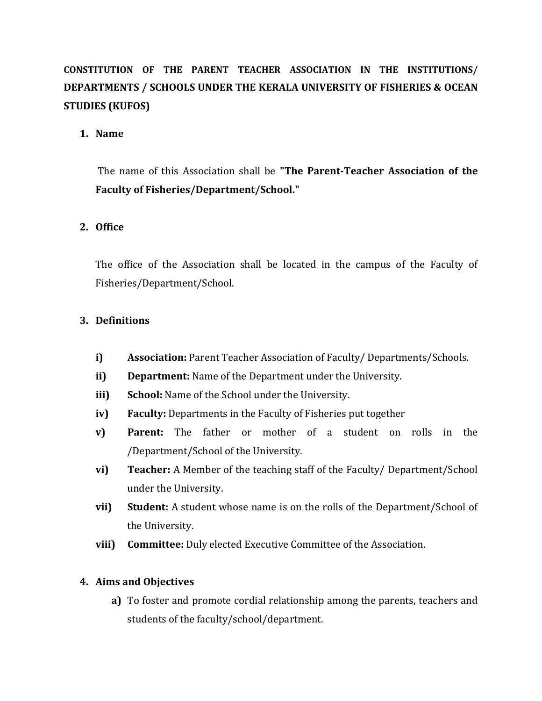# **CONSTITUTION OF THE PARENT TEACHER ASSOCIATION IN THE INSTITUTIONS/ DEPARTMENTS / SCHOOLS UNDER THE KERALA UNIVERSITY OF FISHERIES & OCEAN STUDIES (KUFOS)**

## **1. Name**

The name of this Association shall be **"The Parent-Teacher Association of the Faculty of Fisheries/Department/School."**

# **2. Office**

The office of the Association shall be located in the campus of the Faculty of Fisheries/Department/School.

# **3. Definitions**

- **i) Association:** Parent Teacher Association of Faculty/ Departments/Schools.
- **ii) Department:** Name of the Department under the University.
- **iii) School:** Name of the School under the University.
- **iv) Faculty:** Departments in the Faculty of Fisheries put together
- **v) Parent:** The father or mother of a student on rolls in the /Department/School of the University.
- **vi) Teacher:** A Member of the teaching staff of the Faculty/ Department/School under the University.
- **vii) Student:** A student whose name is on the rolls of the Department/School of the University.
- **viii) Committee:** Duly elected Executive Committee of the Association.

## **4. Aims and Objectives**

**a)** To foster and promote cordial relationship among the parents, teachers and students of the faculty/school/department.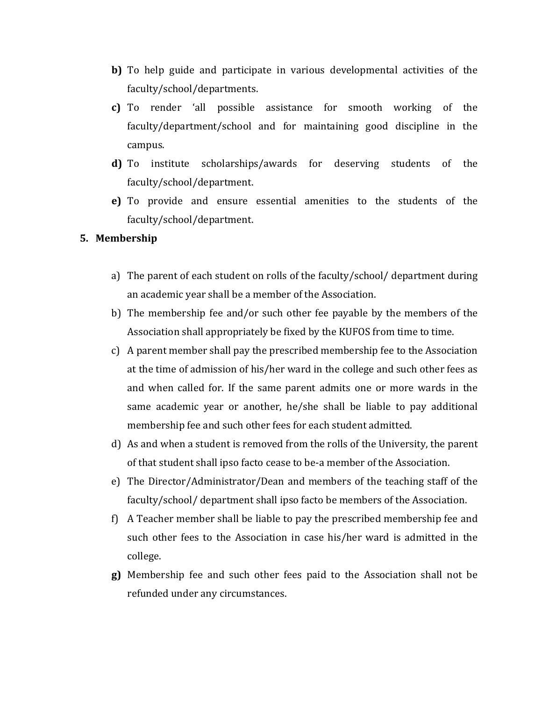- **b)** To help guide and participate in various developmental activities of the faculty/school/departments.
- **c)** To render 'all possible assistance for smooth working of the faculty/department/school and for maintaining good discipline in the campus.
- **d)** To institute scholarships/awards for deserving students of the faculty/school/department.
- **e)** To provide and ensure essential amenities to the students of the faculty/school/department.

#### **5. Membership**

- a) The parent of each student on rolls of the faculty/school/ department during an academic year shall be a member of the Association.
- b) The membership fee and/or such other fee payable by the members of the Association shall appropriately be fixed by the KUFOS from time to time.
- c) A parent member shall pay the prescribed membership fee to the Association at the time of admission of his/her ward in the college and such other fees as and when called for. If the same parent admits one or more wards in the same academic year or another, he/she shall be liable to pay additional membership fee and such other fees for each student admitted.
- d) As and when a student is removed from the rolls of the University, the parent of that student shall ipso facto cease to be-a member of the Association.
- e) The Director/Administrator/Dean and members of the teaching staff of the faculty/school/ department shall ipso facto be members of the Association.
- f) A Teacher member shall be liable to pay the prescribed membership fee and such other fees to the Association in case his/her ward is admitted in the college.
- **g)** Membership fee and such other fees paid to the Association shall not be refunded under any circumstances.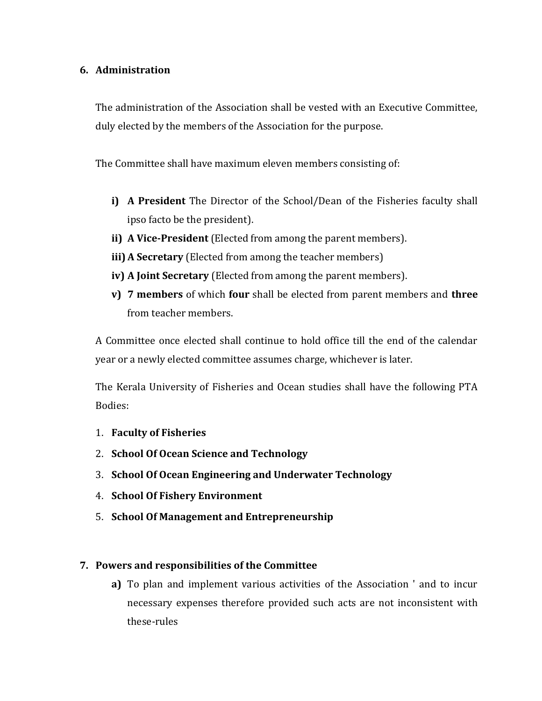## **6. Administration**

The administration of the Association shall be vested with an Executive Committee, duly elected by the members of the Association for the purpose.

The Committee shall have maximum eleven members consisting of:

- **i) A President** The Director of the School/Dean of the Fisheries faculty shall ipso facto be the president).
- **ii) A Vice-President** (Elected from among the parent members).
- **iii) A Secretary** (Elected from among the teacher members)
- **iv) A Joint Secretary** (Elected from among the parent members).
- **v) 7 members** of which **four** shall be elected from parent members and **three** from teacher members.

A Committee once elected shall continue to hold office till the end of the calendar year or a newly elected committee assumes charge, whichever is later.

The Kerala University of Fisheries and Ocean studies shall have the following PTA Bodies:

- 1. **[Faculty of Fisheries](http://kufos.ac.in/Faculty/Schools/faculty-of-fisheries/)**
- 2. **[School Of Ocean Science and Technology](http://kufos.ac.in/Faculty/Schools/school-of-ocean-science-and-technology/)**
- 3. **[School Of Ocean Engineering and Underwater Technology](https://sites.google.com/view/soeut-kufos/home?authuser=0)**
- 4. **[School Of Fishery Environment](http://kufos.ac.in/Faculty/Schools/school-of-fishery-environment/)**
- 5. **[School Of Management and Entrepreneurship](http://kufos.ac.in/Faculty/Schools/school-of-management-and-entrepreneurship/)**

# **7. Powers and responsibilities of the Committee**

**a)** To plan and implement various activities of the Association ' and to incur necessary expenses therefore provided such acts are not inconsistent with these-rules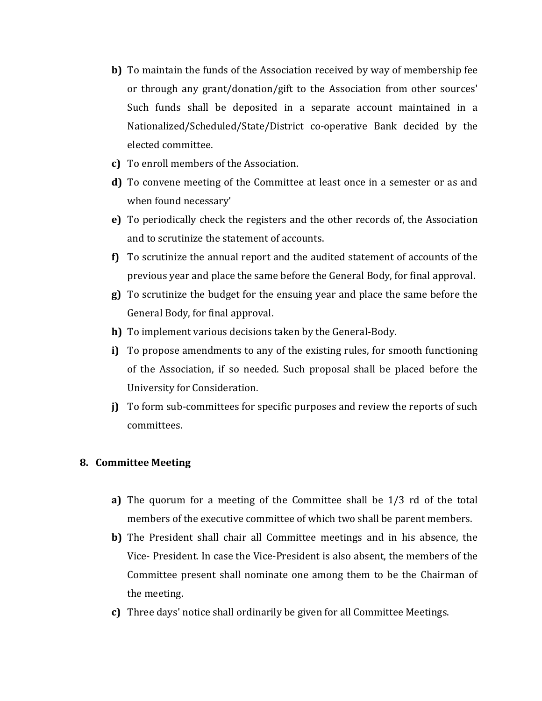- **b)** To maintain the funds of the Association received by way of membership fee or through any grant/donation/gift to the Association from other sources' Such funds shall be deposited in a separate account maintained in a Nationalized/Scheduled/State/District co-operative Bank decided by the elected committee.
- **c)** To enroll members of the Association.
- **d)** To convene meeting of the Committee at least once in a semester or as and when found necessary'
- **e)** To periodically check the registers and the other records of, the Association and to scrutinize the statement of accounts.
- **f)** To scrutinize the annual report and the audited statement of accounts of the previous year and place the same before the General Body, for final approval.
- **g)** To scrutinize the budget for the ensuing year and place the same before the General Body, for final approval.
- **h)** To implement various decisions taken by the General-Body.
- **i)** To propose amendments to any of the existing rules, for smooth functioning of the Association, if so needed. Such proposal shall be placed before the University for Consideration.
- **j)** To form sub-committees for specific purposes and review the reports of such committees.

## **8. Committee Meeting**

- **a)** The quorum for a meeting of the Committee shall be 1/3 rd of the total members of the executive committee of which two shall be parent members.
- **b)** The President shall chair all Committee meetings and in his absence, the Vice- President. In case the Vice-President is also absent, the members of the Committee present shall nominate one among them to be the Chairman of the meeting.
- **c)** Three days' notice shall ordinarily be given for all Committee Meetings.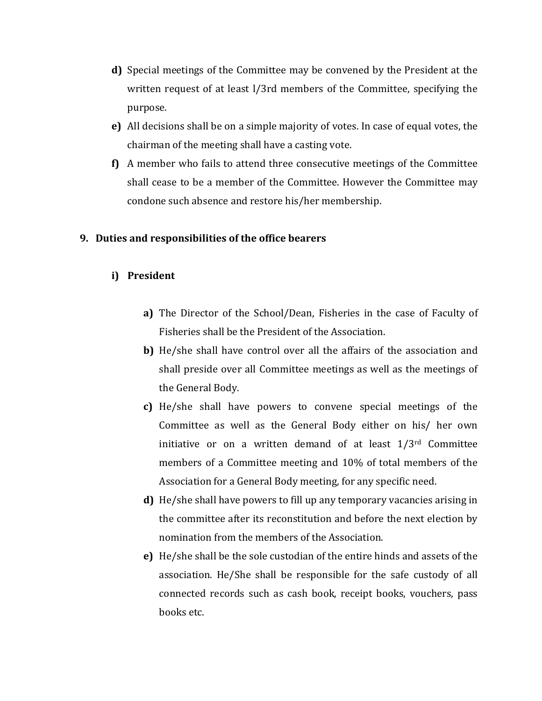- **d)** Special meetings of the Committee may be convened by the President at the written request of at least l/3rd members of the Committee, specifying the purpose.
- **e)** All decisions shall be on a simple majority of votes. In case of equal votes, the chairman of the meeting shall have a casting vote.
- **f)** A member who fails to attend three consecutive meetings of the Committee shall cease to be a member of the Committee. However the Committee may condone such absence and restore his/her membership.

### **9. Duties and responsibilities of the office bearers**

### **i) President**

- **a)** The Director of the School/Dean, Fisheries in the case of Faculty of Fisheries shall be the President of the Association.
- **b)** He/she shall have control over all the affairs of the association and shall preside over all Committee meetings as well as the meetings of the General Body.
- **c)** He/she shall have powers to convene special meetings of the Committee as well as the General Body either on his/ her own initiative or on a written demand of at least  $1/3^{rd}$  Committee members of a Committee meeting and 10% of total members of the Association for a General Body meeting, for any specific need.
- **d)** He/she shall have powers to fill up any temporary vacancies arising in the committee after its reconstitution and before the next election by nomination from the members of the Association.
- **e)** He/she shall be the sole custodian of the entire hinds and assets of the association. He/She shall be responsible for the safe custody of all connected records such as cash book, receipt books, vouchers, pass books etc.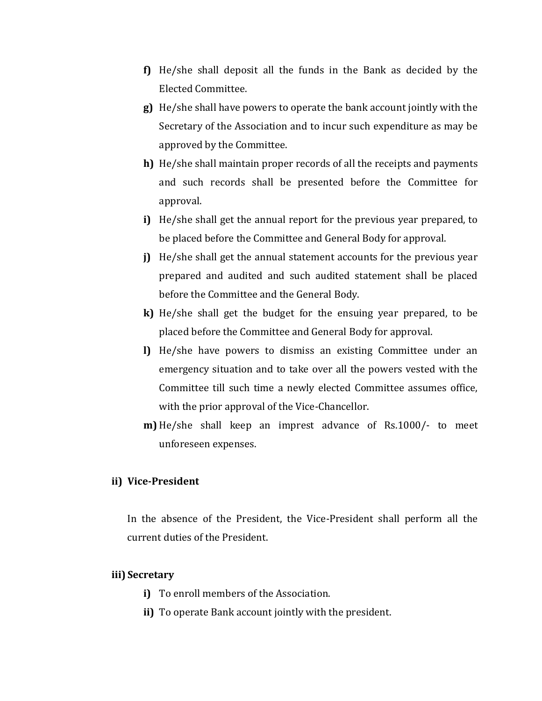- **f)** He/she shall deposit all the funds in the Bank as decided by the Elected Committee.
- **g)** He/she shall have powers to operate the bank account jointly with the Secretary of the Association and to incur such expenditure as may be approved by the Committee.
- **h)** He/she shall maintain proper records of all the receipts and payments and such records shall be presented before the Committee for approval.
- **i)** He/she shall get the annual report for the previous year prepared, to be placed before the Committee and General Body for approval.
- **j)** He/she shall get the annual statement accounts for the previous year prepared and audited and such audited statement shall be placed before the Committee and the General Body.
- **k)** He/she shall get the budget for the ensuing year prepared, to be placed before the Committee and General Body for approval.
- **l)** He/she have powers to dismiss an existing Committee under an emergency situation and to take over all the powers vested with the Committee till such time a newly elected Committee assumes office, with the prior approval of the Vice-Chancellor.
- **m)** He/she shall keep an imprest advance of Rs.1000/- to meet unforeseen expenses.

## **ii) Vice-President**

In the absence of the President, the Vice-President shall perform all the current duties of the President.

#### **iii) Secretary**

- **i)** To enroll members of the Association.
- **ii)** To operate Bank account jointly with the president.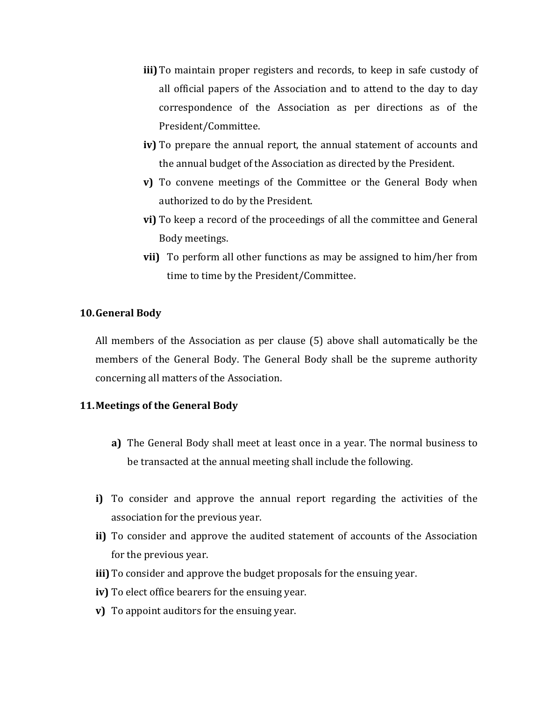- **iii)** To maintain proper registers and records, to keep in safe custody of all official papers of the Association and to attend to the day to day correspondence of the Association as per directions as of the President/Committee.
- **iv)** To prepare the annual report, the annual statement of accounts and the annual budget of the Association as directed by the President.
- **v)** To convene meetings of the Committee or the General Body when authorized to do by the President.
- **vi)** To keep a record of the proceedings of all the committee and General Body meetings.
- **vii)** To perform all other functions as may be assigned to him/her from time to time by the President/Committee.

#### **10.General Body**

All members of the Association as per clause (5) above shall automatically be the members of the General Body. The General Body shall be the supreme authority concerning all matters of the Association.

#### **11.Meetings of the General Body**

- **a)** The General Body shall meet at least once in a year. The normal business to be transacted at the annual meeting shall include the following.
- **i)** To consider and approve the annual report regarding the activities of the association for the previous year.
- **ii)** To consider and approve the audited statement of accounts of the Association for the previous year.
- **iii)** To consider and approve the budget proposals for the ensuing year.
- **iv)** To elect office bearers for the ensuing year.
- **v)** To appoint auditors for the ensuing year.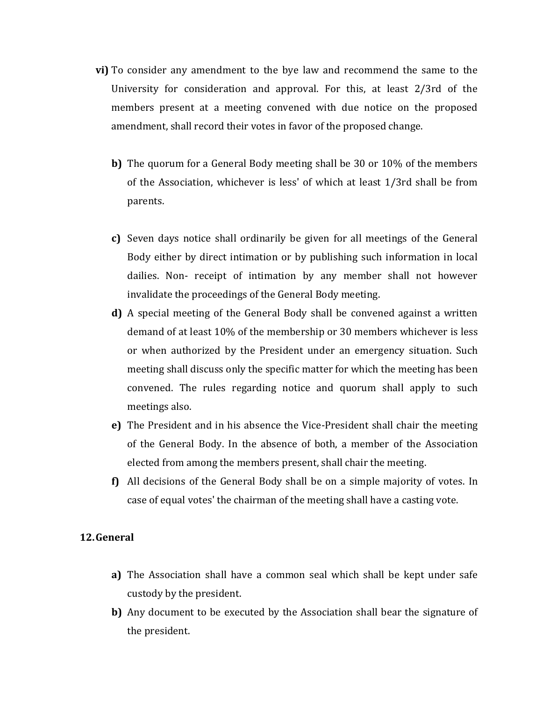- **vi)** To consider any amendment to the bye law and recommend the same to the University for consideration and approval. For this, at least 2/3rd of the members present at a meeting convened with due notice on the proposed amendment, shall record their votes in favor of the proposed change.
	- **b)** The quorum for a General Body meeting shall be 30 or 10% of the members of the Association, whichever is less' of which at least 1/3rd shall be from parents.
	- **c)** Seven days notice shall ordinarily be given for all meetings of the General Body either by direct intimation or by publishing such information in local dailies. Non- receipt of intimation by any member shall not however invalidate the proceedings of the General Body meeting.
	- **d)** A special meeting of the General Body shall be convened against a written demand of at least 10% of the membership or 30 members whichever is less or when authorized by the President under an emergency situation. Such meeting shall discuss only the specific matter for which the meeting has been convened. The rules regarding notice and quorum shall apply to such meetings also.
	- **e)** The President and in his absence the Vice-President shall chair the meeting of the General Body. In the absence of both, a member of the Association elected from among the members present, shall chair the meeting.
	- **f)** All decisions of the General Body shall be on a simple majority of votes. In case of equal votes' the chairman of the meeting shall have a casting vote.

#### **12.General**

- **a)** The Association shall have a common seal which shall be kept under safe custody by the president.
- **b)** Any document to be executed by the Association shall bear the signature of the president.